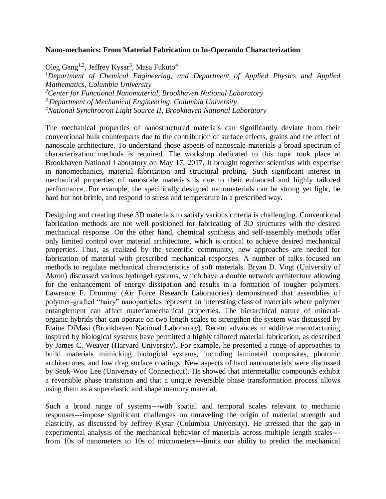## **Nano-mechanics: From Material Fabrication to In-Operando Characterization**

Oleg Gang<sup>1,2</sup>, Jeffrey Kysar<sup>3</sup>, Masa Fukuto<sup>4</sup>

*Department of Chemical Engineering, and Department of Applied Physics and Applied Mathematics, Columbia University Center for Functional Nanomaterial, Brookhaven National Laboratory Department of Mechanical Engineering, Columbia University National Synchrotron Light Source II, Brookhaven National Laboratory* 

The mechanical properties of nanostructured materials can significantly deviate from their conventional bulk counterparts due to the contribution of surface effects, grains and the effect of nanoscale architecture. To understand those aspects of nanoscale materials a broad spectrum of characterization methods is required. The workshop dedicated to this topic took place at Brookhaven National Laboratory on May 17, 2017. It brought together scientists with expertise in nanomechanics, material fabrication and structural probing. Such significant interest in mechanical properties of nanoscale materials is due to their enhanced and highly tailored performance. For example, the specifically designed nanomaterials can be strong yet light, be hard but not brittle, and respond to stress and temperature in a prescribed way.

Designing and creating these 3D materials to satisfy various criteria is challenging. Conventional fabrication methods are not well positioned for fabricating of 3D structures with the desired mechanical response. On the other hand, chemical synthesis and self-assembly methods offer only limited control over material architecture, which is critical to achieve desired mechanical properties. Thus, as realized by the scientific community, new approaches are needed for fabrication of material with prescribed mechanical responses. A number of talks focused on methods to regulate mechanical characteristics of soft materials. Bryan D. Vogt (University of Akron) discussed various hydrogel systems, which have a double network architecture allowing for the enhancement of energy dissipation and results in a formation of tougher polymers. Lawrence F. Drummy (Air Force Research Laboratories) demonstrated that assemblies of polymer-grafted "hairy" nanoparticles represent an interesting class of materials where polymer entanglement can affect materiamechanical properties. The hierarchical nature of mineralorganic hybrids that can operate on two length scales to strengthen the system was discussed by Elaine DiMasi (Brookhaven National Laboratory). Recent advances in additive manufacturing inspired by biological systems have permitted a highly tailored material fabrication, as described by James C. Weaver (Harvard University). For example, he presented a range of approaches to build materials mimicking biological systems, including laminated composites, photonic architectures, and low drag surface coatings. New aspects of hard nanomaterials were discussed by Seok-Woo Lee (University of Connecticut). He showed that intermetallic compounds exhibit a reversible phase transition and that a unique reversible phase transformation process allows using them as a superelastic and shape memory material.

Such a broad range of systems---with spatial and temporal scales relevant to mechanic responses---impose significant challenges on unraveling the origin of material strength and elasticity, as discussed by Jeffrey Kysar (Columbia University). He stressed that the gap in experimental analysis of the mechanical behavior of materials across multiple length scales-- from 10s of nanometers to 10s of micrometers---limits our ability to predict the mechanical